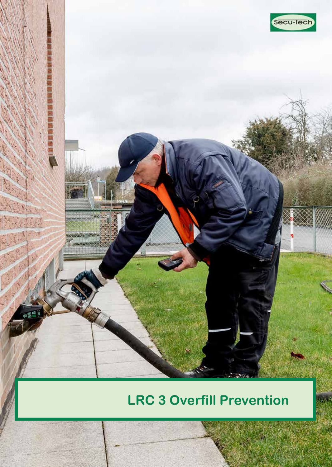

# **LRC 3 Overfill Prevention**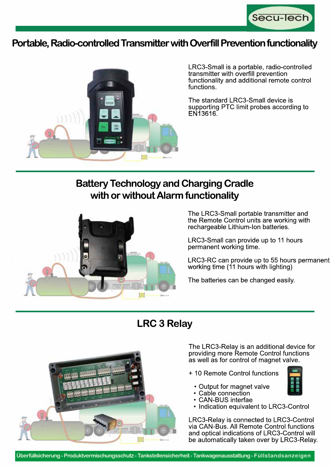

#### **Portable, Radio-controlled Transmitter with Overfill Prevention functionality**



LRC3-Small is a portable, radio-controlled transmitter with overfill prevention functionality and additional remote control functions.

The standard LRC3-Small device is supporting PTC limit probes according to EN13616.

## **BatteryTechnology and Charging Cradle with or without Alarm functionality**



The LRC3-Small portable transmitter and the Remote Control units are working with rechargeable Lithium-Ion batteries.

LRC3-Small can provide up to 11 hours permanent working time.

LRC3-RC can provide up to 55 hours permanent working time (11 hours with lighting)

The batteries can be changed easily.

### **LRC 3 Relay**



The LRC3-Relay is an additional device for providing more Remote Control functions as well as for control of magnet valve.

- + 10 Remote Control functions
	-
	-
	-
	- Output for magnet valve<br>• Cable connection<br>• CAN-BUS interfae<br>• Indication equivalent to LRC3-Control

LRC3-Relay is connected to LRC3-Control via CAN-Bus. All Remote Control functions and optical indications of LRC3-Control will be automatically taken over by LRC3-Relay.

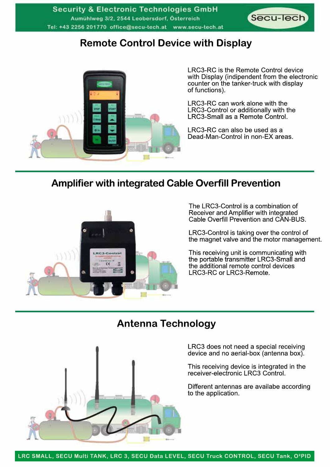

# **Remote Control Device with Display**



LRC3-RC is the Remote Control device with Display (indipendent from the electronic counter on the tanker-truck with display of functions).

LRC3-RC can work alone with the LRC3-Control or additionally with the LRC3-Small as a Remote Control.

LRC3-RC can also be used as a Dead-Man-Control in non-EX areas.

## **Amplifier with integrated Cable Overfill Prevention**



The LRC3-Control is a combination of Receiver and Amplifier with integrated Cable Overfill Prevention and CAN-BUS.

LRC3-Control is taking over the control of the magnet valve and the motor management.

This receiving unit is communicating with the portable transmitter LRC3-Small and the additional remote control devices LRC3-RC or LRC3-Remote.

### **Antenna Technology**



LRC3 does not need a special receiving device and no aerial-box (antenna box).

This receiving device is integrated in the receiver-electronic LRC3 Control.

Different antennas are availabe according to the application.